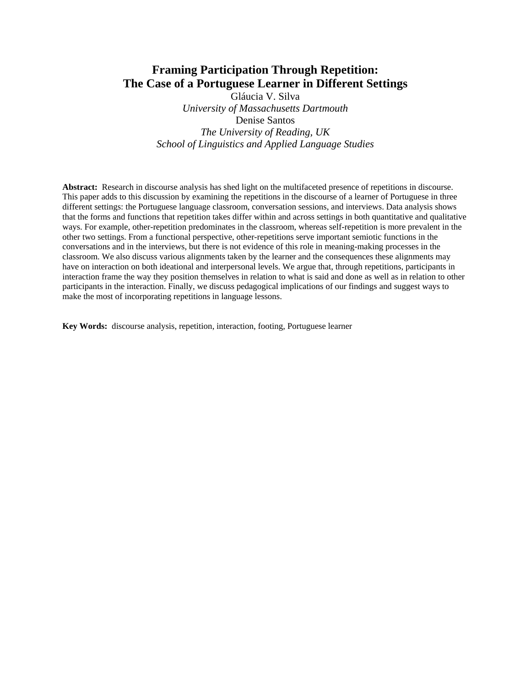# **Framing Participation Through Repetition: The Case of a Portuguese Learner in Different Settings**

Gláucia V. Silva *University of Massachusetts Dartmouth*  Denise Santos *The University of Reading, UK School of Linguistics and Applied Language Studies* 

**Abstract:** Research in discourse analysis has shed light on the multifaceted presence of repetitions in discourse. This paper adds to this discussion by examining the repetitions in the discourse of a learner of Portuguese in three different settings: the Portuguese language classroom, conversation sessions, and interviews. Data analysis shows that the forms and functions that repetition takes differ within and across settings in both quantitative and qualitative ways. For example, other-repetition predominates in the classroom, whereas self-repetition is more prevalent in the other two settings. From a functional perspective, other-repetitions serve important semiotic functions in the conversations and in the interviews, but there is not evidence of this role in meaning-making processes in the classroom. We also discuss various alignments taken by the learner and the consequences these alignments may have on interaction on both ideational and interpersonal levels. We argue that, through repetitions, participants in interaction frame the way they position themselves in relation to what is said and done as well as in relation to other participants in the interaction. Finally, we discuss pedagogical implications of our findings and suggest ways to make the most of incorporating repetitions in language lessons.

**Key Words:** discourse analysis, repetition, interaction, footing, Portuguese learner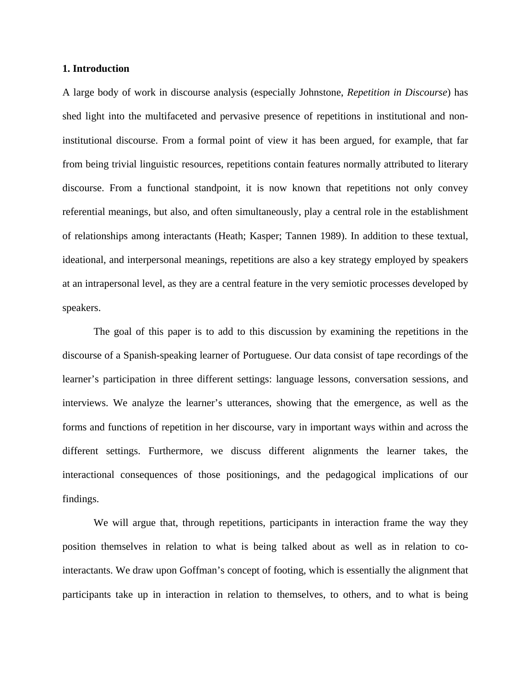### **1. Introduction**

A large body of work in discourse analysis (especially Johnstone, *Repetition in Discourse*) has shed light into the multifaceted and pervasive presence of repetitions in institutional and noninstitutional discourse. From a formal point of view it has been argued, for example, that far from being trivial linguistic resources, repetitions contain features normally attributed to literary discourse. From a functional standpoint, it is now known that repetitions not only convey referential meanings, but also, and often simultaneously, play a central role in the establishment of relationships among interactants (Heath; Kasper; Tannen 1989). In addition to these textual, ideational, and interpersonal meanings, repetitions are also a key strategy employed by speakers at an intrapersonal level, as they are a central feature in the very semiotic processes developed by speakers.

The goal of this paper is to add to this discussion by examining the repetitions in the discourse of a Spanish-speaking learner of Portuguese. Our data consist of tape recordings of the learner's participation in three different settings: language lessons, conversation sessions, and interviews. We analyze the learner's utterances, showing that the emergence, as well as the forms and functions of repetition in her discourse, vary in important ways within and across the different settings. Furthermore, we discuss different alignments the learner takes, the interactional consequences of those positionings, and the pedagogical implications of our findings.

 We will argue that, through repetitions, participants in interaction frame the way they position themselves in relation to what is being talked about as well as in relation to cointeractants. We draw upon Goffman's concept of footing, which is essentially the alignment that participants take up in interaction in relation to themselves, to others, and to what is being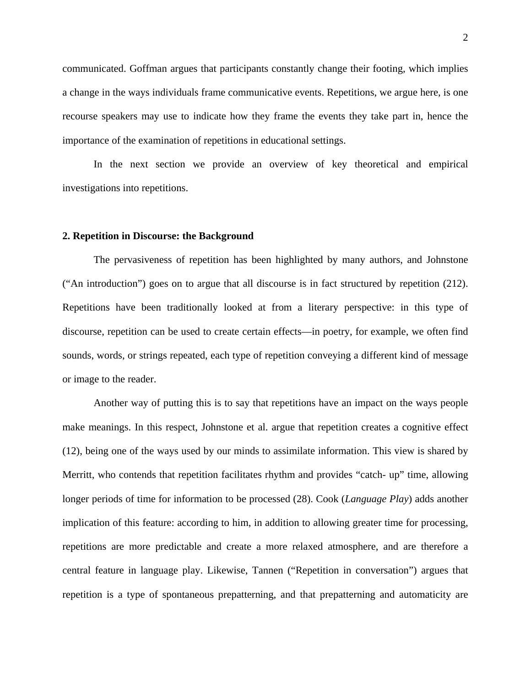communicated. Goffman argues that participants constantly change their footing, which implies a change in the ways individuals frame communicative events. Repetitions, we argue here, is one recourse speakers may use to indicate how they frame the events they take part in, hence the importance of the examination of repetitions in educational settings.

In the next section we provide an overview of key theoretical and empirical investigations into repetitions.

#### **2. Repetition in Discourse: the Background**

 The pervasiveness of repetition has been highlighted by many authors, and Johnstone ("An introduction") goes on to argue that all discourse is in fact structured by repetition (212). Repetitions have been traditionally looked at from a literary perspective: in this type of discourse, repetition can be used to create certain effects—in poetry, for example, we often find sounds, words, or strings repeated, each type of repetition conveying a different kind of message or image to the reader.

 Another way of putting this is to say that repetitions have an impact on the ways people make meanings. In this respect, Johnstone et al. argue that repetition creates a cognitive effect (12), being one of the ways used by our minds to assimilate information. This view is shared by Merritt, who contends that repetition facilitates rhythm and provides "catch- up" time, allowing longer periods of time for information to be processed (28). Cook (*Language Play*) adds another implication of this feature: according to him, in addition to allowing greater time for processing, repetitions are more predictable and create a more relaxed atmosphere, and are therefore a central feature in language play. Likewise, Tannen ("Repetition in conversation") argues that repetition is a type of spontaneous prepatterning, and that prepatterning and automaticity are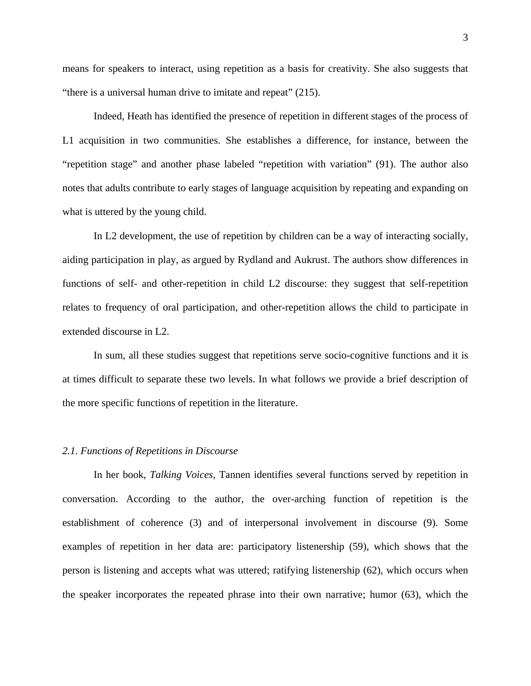means for speakers to interact, using repetition as a basis for creativity. She also suggests that "there is a universal human drive to imitate and repeat" (215).

Indeed, Heath has identified the presence of repetition in different stages of the process of L1 acquisition in two communities. She establishes a difference, for instance, between the "repetition stage" and another phase labeled "repetition with variation" (91). The author also notes that adults contribute to early stages of language acquisition by repeating and expanding on what is uttered by the young child.

In L2 development, the use of repetition by children can be a way of interacting socially, aiding participation in play, as argued by Rydland and Aukrust. The authors show differences in functions of self- and other-repetition in child L2 discourse: they suggest that self-repetition relates to frequency of oral participation, and other-repetition allows the child to participate in extended discourse in L2.

In sum, all these studies suggest that repetitions serve socio-cognitive functions and it is at times difficult to separate these two levels. In what follows we provide a brief description of the more specific functions of repetition in the literature.

### *2.1. Functions of Repetitions in Discourse*

In her book, *Talking Voices*, Tannen identifies several functions served by repetition in conversation. According to the author, the over-arching function of repetition is the establishment of coherence (3) and of interpersonal involvement in discourse (9). Some examples of repetition in her data are: participatory listenership (59), which shows that the person is listening and accepts what was uttered; ratifying listenership (62), which occurs when the speaker incorporates the repeated phrase into their own narrative; humor (63), which the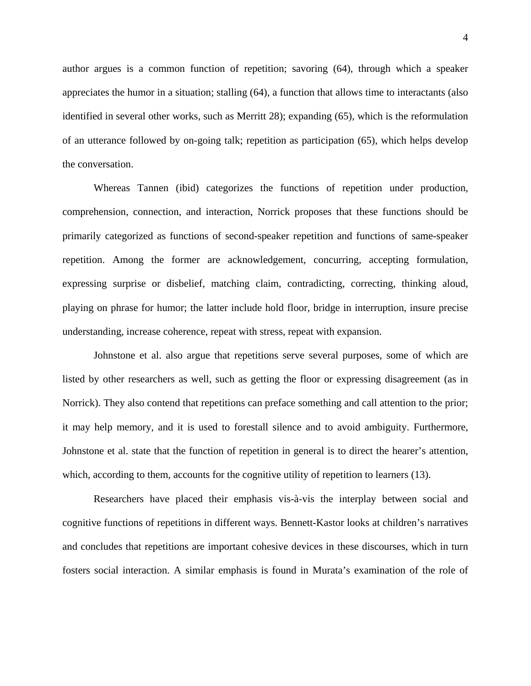author argues is a common function of repetition; savoring (64), through which a speaker appreciates the humor in a situation; stalling (64), a function that allows time to interactants (also identified in several other works, such as Merritt 28); expanding (65), which is the reformulation of an utterance followed by on-going talk; repetition as participation (65), which helps develop the conversation.

Whereas Tannen (ibid) categorizes the functions of repetition under production, comprehension, connection, and interaction, Norrick proposes that these functions should be primarily categorized as functions of second-speaker repetition and functions of same-speaker repetition. Among the former are acknowledgement, concurring, accepting formulation, expressing surprise or disbelief, matching claim, contradicting, correcting, thinking aloud, playing on phrase for humor; the latter include hold floor, bridge in interruption, insure precise understanding, increase coherence, repeat with stress, repeat with expansion.

Johnstone et al. also argue that repetitions serve several purposes, some of which are listed by other researchers as well, such as getting the floor or expressing disagreement (as in Norrick). They also contend that repetitions can preface something and call attention to the prior; it may help memory, and it is used to forestall silence and to avoid ambiguity. Furthermore, Johnstone et al. state that the function of repetition in general is to direct the hearer's attention, which, according to them, accounts for the cognitive utility of repetition to learners (13).

Researchers have placed their emphasis vis-à-vis the interplay between social and cognitive functions of repetitions in different ways. Bennett-Kastor looks at children's narratives and concludes that repetitions are important cohesive devices in these discourses, which in turn fosters social interaction. A similar emphasis is found in Murata's examination of the role of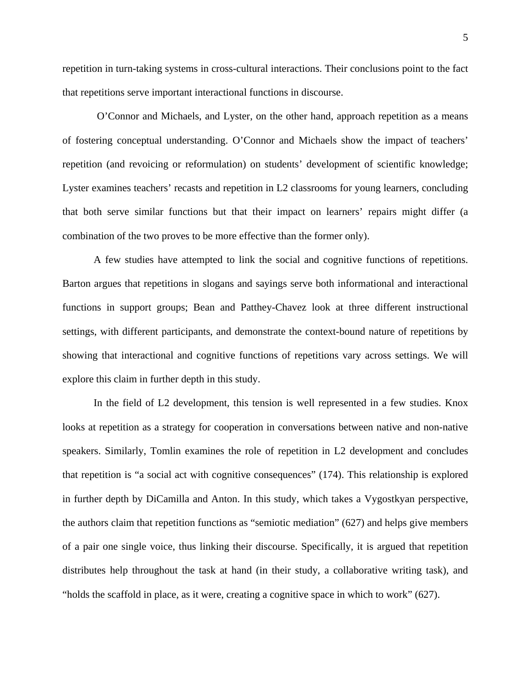repetition in turn-taking systems in cross-cultural interactions. Their conclusions point to the fact that repetitions serve important interactional functions in discourse.

 O'Connor and Michaels, and Lyster, on the other hand, approach repetition as a means of fostering conceptual understanding. O'Connor and Michaels show the impact of teachers' repetition (and revoicing or reformulation) on students' development of scientific knowledge; Lyster examines teachers' recasts and repetition in L2 classrooms for young learners, concluding that both serve similar functions but that their impact on learners' repairs might differ (a combination of the two proves to be more effective than the former only).

A few studies have attempted to link the social and cognitive functions of repetitions. Barton argues that repetitions in slogans and sayings serve both informational and interactional functions in support groups; Bean and Patthey-Chavez look at three different instructional settings, with different participants, and demonstrate the context-bound nature of repetitions by showing that interactional and cognitive functions of repetitions vary across settings. We will explore this claim in further depth in this study.

In the field of L2 development, this tension is well represented in a few studies. Knox looks at repetition as a strategy for cooperation in conversations between native and non-native speakers. Similarly, Tomlin examines the role of repetition in L2 development and concludes that repetition is "a social act with cognitive consequences" (174). This relationship is explored in further depth by DiCamilla and Anton. In this study, which takes a Vygostkyan perspective, the authors claim that repetition functions as "semiotic mediation" (627) and helps give members of a pair one single voice, thus linking their discourse. Specifically, it is argued that repetition distributes help throughout the task at hand (in their study, a collaborative writing task), and "holds the scaffold in place, as it were, creating a cognitive space in which to work" (627).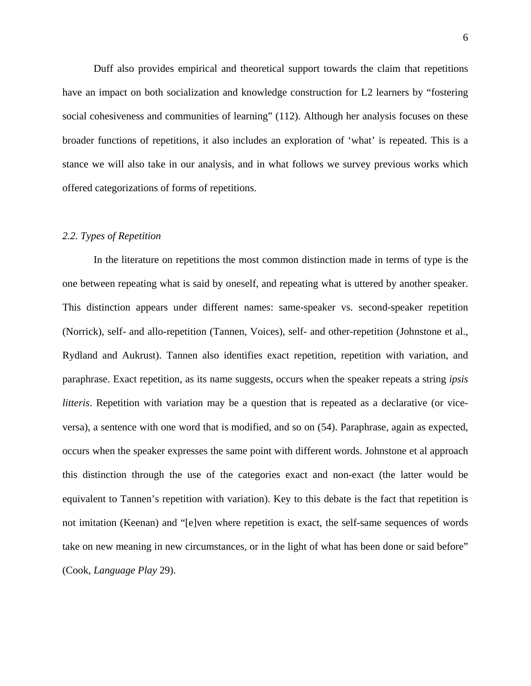Duff also provides empirical and theoretical support towards the claim that repetitions have an impact on both socialization and knowledge construction for L2 learners by "fostering social cohesiveness and communities of learning" (112). Although her analysis focuses on these broader functions of repetitions, it also includes an exploration of 'what' is repeated. This is a stance we will also take in our analysis, and in what follows we survey previous works which offered categorizations of forms of repetitions.

#### *2.2. Types of Repetition*

In the literature on repetitions the most common distinction made in terms of type is the one between repeating what is said by oneself, and repeating what is uttered by another speaker. This distinction appears under different names: same-speaker vs. second-speaker repetition (Norrick), self- and allo-repetition (Tannen, Voices), self- and other-repetition (Johnstone et al., Rydland and Aukrust). Tannen also identifies exact repetition, repetition with variation, and paraphrase. Exact repetition, as its name suggests, occurs when the speaker repeats a string *ipsis litteris*. Repetition with variation may be a question that is repeated as a declarative (or viceversa), a sentence with one word that is modified, and so on (54). Paraphrase, again as expected, occurs when the speaker expresses the same point with different words. Johnstone et al approach this distinction through the use of the categories exact and non-exact (the latter would be equivalent to Tannen's repetition with variation). Key to this debate is the fact that repetition is not imitation (Keenan) and "[e]ven where repetition is exact, the self-same sequences of words take on new meaning in new circumstances, or in the light of what has been done or said before" (Cook, *Language Play* 29).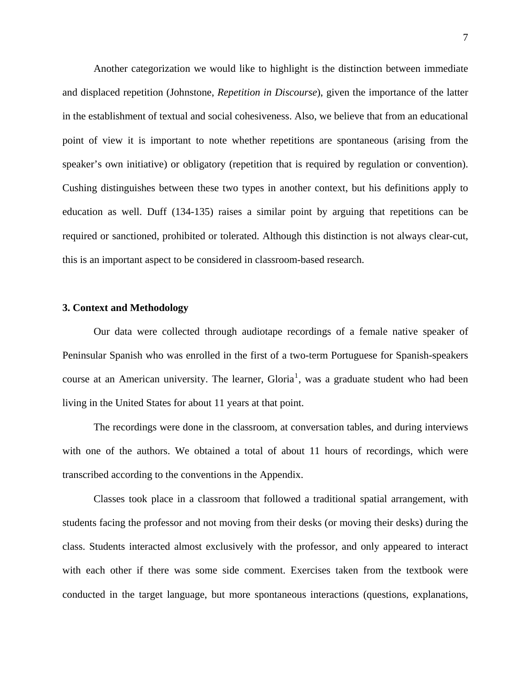Another categorization we would like to highlight is the distinction between immediate and displaced repetition (Johnstone, *Repetition in Discourse*), given the importance of the latter in the establishment of textual and social cohesiveness. Also, we believe that from an educational point of view it is important to note whether repetitions are spontaneous (arising from the speaker's own initiative) or obligatory (repetition that is required by regulation or convention). Cushing distinguishes between these two types in another context, but his definitions apply to education as well. Duff (134-135) raises a similar point by arguing that repetitions can be required or sanctioned, prohibited or tolerated. Although this distinction is not always clear-cut, this is an important aspect to be considered in classroom-based research.

### **3. Context and Methodology**

 Our data were collected through audiotape recordings of a female native speaker of Peninsular Spanish who was enrolled in the first of a two-term Portuguese for Spanish-speakers course at an American university. The learner,  $Gloria<sup>1</sup>$  $Gloria<sup>1</sup>$  $Gloria<sup>1</sup>$ , was a graduate student who had been living in the United States for about 11 years at that point.

 The recordings were done in the classroom, at conversation tables, and during interviews with one of the authors. We obtained a total of about 11 hours of recordings, which were transcribed according to the conventions in the Appendix.

Classes took place in a classroom that followed a traditional spatial arrangement, with students facing the professor and not moving from their desks (or moving their desks) during the class. Students interacted almost exclusively with the professor, and only appeared to interact with each other if there was some side comment. Exercises taken from the textbook were conducted in the target language, but more spontaneous interactions (questions, explanations,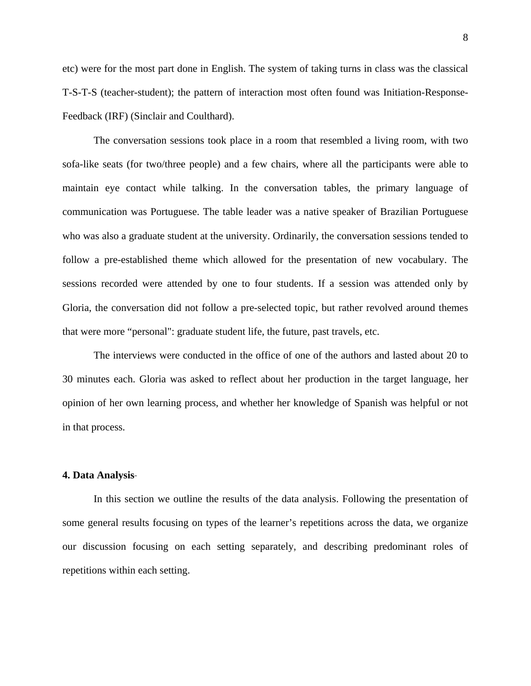etc) were for the most part done in English. The system of taking turns in class was the classical T-S-T-S (teacher-student); the pattern of interaction most often found was Initiation-Response-Feedback (IRF) (Sinclair and Coulthard).

The conversation sessions took place in a room that resembled a living room, with two sofa-like seats (for two/three people) and a few chairs, where all the participants were able to maintain eye contact while talking. In the conversation tables, the primary language of communication was Portuguese. The table leader was a native speaker of Brazilian Portuguese who was also a graduate student at the university. Ordinarily, the conversation sessions tended to follow a pre-established theme which allowed for the presentation of new vocabulary. The sessions recorded were attended by one to four students. If a session was attended only by Gloria, the conversation did not follow a pre-selected topic, but rather revolved around themes that were more "personal": graduate student life, the future, past travels, etc.

The interviews were conducted in the office of one of the authors and lasted about 20 to 30 minutes each. Gloria was asked to reflect about her production in the target language, her opinion of her own learning process, and whether her knowledge of Spanish was helpful or not in that process.

#### **4. Data Analysis**

In this section we outline the results of the data analysis. Following the presentation of some general results focusing on types of the learner's repetitions across the data, we organize our discussion focusing on each setting separately, and describing predominant roles of repetitions within each setting.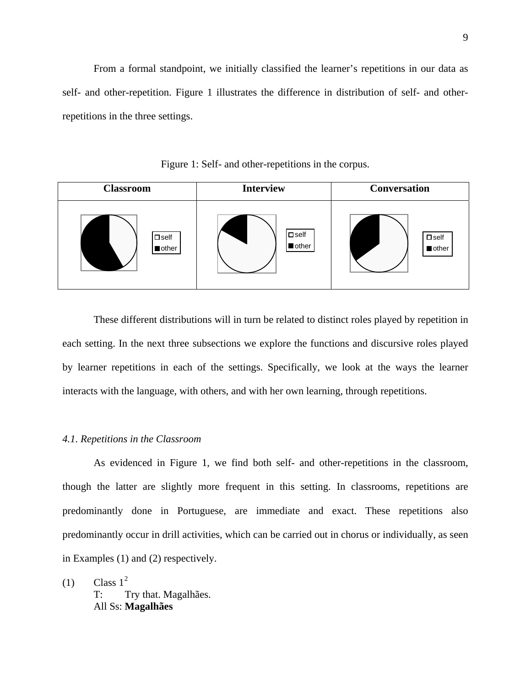From a formal standpoint, we initially classified the learner's repetitions in our data as self- and other-repetition. Figure 1 illustrates the difference in distribution of self- and otherrepetitions in the three settings.

Classroom **Interview Conversation**  $\square$  self **other**  $\square$  self **n**other  $\square$  self **n**other

Figure 1: Self- and other-repetitions in the corpus.

 These different distributions will in turn be related to distinct roles played by repetition in each setting. In the next three subsections we explore the functions and discursive roles played by learner repetitions in each of the settings. Specifically, we look at the ways the learner interacts with the language, with others, and with her own learning, through repetitions.

### *4.1. Repetitions in the Classroom*

 As evidenced in Figure 1, we find both self- and other-repetitions in the classroom, though the latter are slightly more frequent in this setting. In classrooms, repetitions are predominantly done in Portuguese, are immediate and exact. These repetitions also predominantly occur in drill activities, which can be carried out in chorus or individually, as seen in Examples (1) and (2) respectively.

 $(1)$  Class  $1<sup>2</sup>$  $1<sup>2</sup>$  $1<sup>2</sup>$ T: Try that. Magalhães. All Ss: **Magalhães**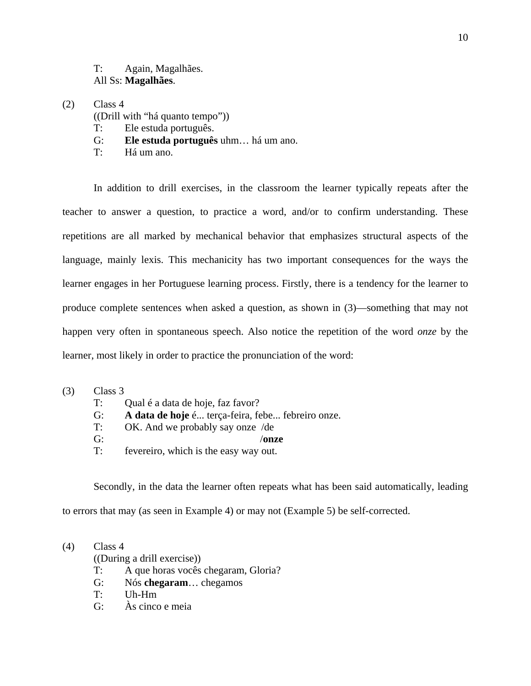T: Again, Magalhães. All Ss: **Magalhães**.

- $(2)$  Class 4
	- ((Drill with "há quanto tempo"))
	- T: Ele estuda português.
	- G: **Ele estuda português** uhm… há um ano.
	- T: Há um ano.

 In addition to drill exercises, in the classroom the learner typically repeats after the teacher to answer a question, to practice a word, and/or to confirm understanding. These repetitions are all marked by mechanical behavior that emphasizes structural aspects of the language, mainly lexis. This mechanicity has two important consequences for the ways the learner engages in her Portuguese learning process. Firstly, there is a tendency for the learner to produce complete sentences when asked a question, as shown in (3)—something that may not happen very often in spontaneous speech. Also notice the repetition of the word *onze* by the learner, most likely in order to practice the pronunciation of the word:

- (3) Class 3
	- T: Qual é a data de hoje, faz favor?
	- G: **A data de hoje** é... terça-feira, febe... febreiro onze.
	- T: OK. And we probably say onze /de
	- G: /**onze**
	- T: fevereiro, which is the easy way out.

 Secondly, in the data the learner often repeats what has been said automatically, leading to errors that may (as seen in Example 4) or may not (Example 5) be self-corrected.

(4) Class 4

((During a drill exercise))

- T: A que horas vocês chegaram, Gloria?
- G: Nós **chegaram**… chegamos
- T: Uh-Hm
- G: Às cinco e meia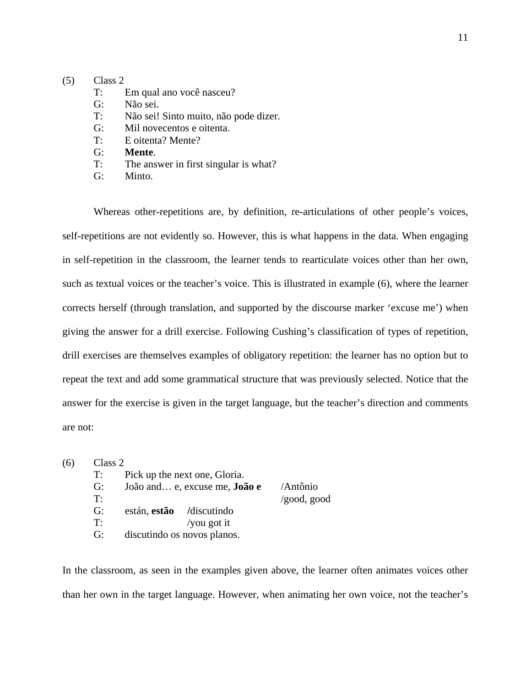### (5) Class 2

- T: Em qual ano você nasceu?
- G: Não sei.
- T: Não sei! Sinto muito, não pode dizer.
- G: Mil novecentos e oitenta.
- T: E oitenta? Mente?
- G: **Mente**.
- T: The answer in first singular is what?
- G: Minto.

 Whereas other-repetitions are, by definition, re-articulations of other people's voices, self-repetitions are not evidently so. However, this is what happens in the data. When engaging in self-repetition in the classroom, the learner tends to rearticulate voices other than her own, such as textual voices or the teacher's voice. This is illustrated in example (6), where the learner corrects herself (through translation, and supported by the discourse marker 'excuse me') when giving the answer for a drill exercise. Following Cushing's classification of types of repetition, drill exercises are themselves examples of obligatory repetition: the learner has no option but to repeat the text and add some grammatical structure that was previously selected. Notice that the answer for the exercise is given in the target language, but the teacher's direction and comments are not:

| (6) | Class 2 |                                      |                     |
|-----|---------|--------------------------------------|---------------------|
|     | T:      | Pick up the next one, Gloria.        |                     |
|     | G:      | João and e, excuse me, <b>João e</b> | /Antônio            |
|     | T:      |                                      | $\gamma$ good, good |
|     | G:      | están, estão / discutindo            |                     |
|     | T:      | /you got it                          |                     |
|     | G:      | discutindo os novos planos.          |                     |

In the classroom, as seen in the examples given above, the learner often animates voices other than her own in the target language. However, when animating her own voice, not the teacher's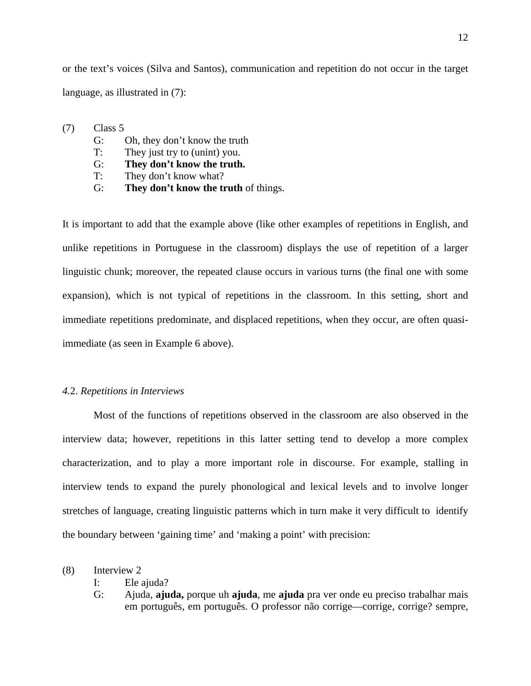or the text's voices (Silva and Santos), communication and repetition do not occur in the target language, as illustrated in (7):

(7) Class 5

- G: Oh, they don't know the truth
- T: They just try to (unint) you.
- G: **They don't know the truth.**
- T: They don't know what?
- G: **They don't know the truth** of things.

It is important to add that the example above (like other examples of repetitions in English, and unlike repetitions in Portuguese in the classroom) displays the use of repetition of a larger linguistic chunk; moreover, the repeated clause occurs in various turns (the final one with some expansion), which is not typical of repetitions in the classroom. In this setting, short and immediate repetitions predominate, and displaced repetitions, when they occur, are often quasiimmediate (as seen in Example 6 above).

### *4.*2. *Repetitions in Interviews*

 Most of the functions of repetitions observed in the classroom are also observed in the interview data; however, repetitions in this latter setting tend to develop a more complex characterization, and to play a more important role in discourse. For example, stalling in interview tends to expand the purely phonological and lexical levels and to involve longer stretches of language, creating linguistic patterns which in turn make it very difficult to identify the boundary between 'gaining time' and 'making a point' with precision:

(8) Interview 2

I: Ele ajuda?

G: Ajuda, **ajuda,** porque uh **ajuda**, me **ajuda** pra ver onde eu preciso trabalhar mais em português, em português. O professor não corrige—corrige, corrige? sempre,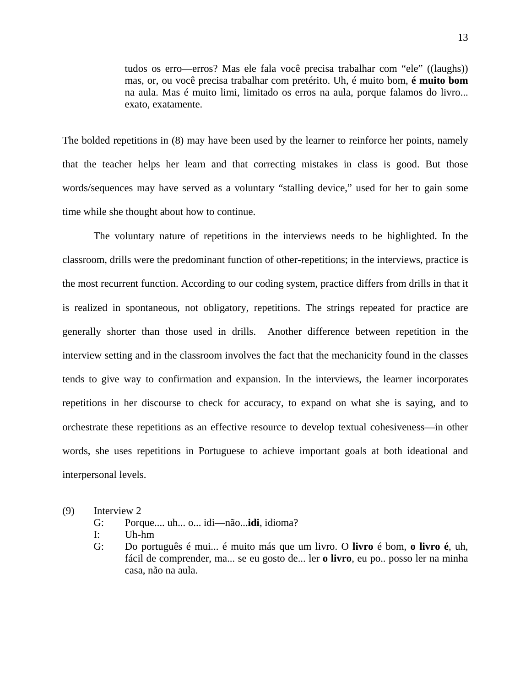tudos os erro—erros? Mas ele fala você precisa trabalhar com "ele" ((laughs)) mas, or, ou você precisa trabalhar com pretérito. Uh, é muito bom, **é muito bom** na aula. Mas é muito limi, limitado os erros na aula, porque falamos do livro... exato, exatamente.

The bolded repetitions in (8) may have been used by the learner to reinforce her points, namely that the teacher helps her learn and that correcting mistakes in class is good. But those words/sequences may have served as a voluntary "stalling device," used for her to gain some time while she thought about how to continue.

 The voluntary nature of repetitions in the interviews needs to be highlighted. In the classroom, drills were the predominant function of other-repetitions; in the interviews, practice is the most recurrent function. According to our coding system, practice differs from drills in that it is realized in spontaneous, not obligatory, repetitions. The strings repeated for practice are generally shorter than those used in drills. Another difference between repetition in the interview setting and in the classroom involves the fact that the mechanicity found in the classes tends to give way to confirmation and expansion. In the interviews, the learner incorporates repetitions in her discourse to check for accuracy, to expand on what she is saying, and to orchestrate these repetitions as an effective resource to develop textual cohesiveness—in other words, she uses repetitions in Portuguese to achieve important goals at both ideational and interpersonal levels.

- (9) Interview 2
	- G: Porque.... uh... o... idi—não...**idi**, idioma?
	- I: Uh-hm
	- G: Do português é mui... é muito más que um livro. O **livro** é bom, **o livro é**, uh, fácil de comprender, ma... se eu gosto de... ler **o livro**, eu po.. posso ler na minha casa, não na aula.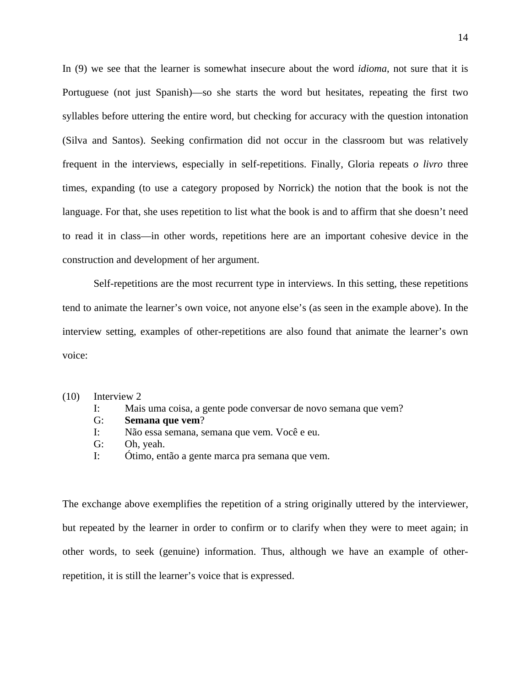In (9) we see that the learner is somewhat insecure about the word *idioma*, not sure that it is Portuguese (not just Spanish)—so she starts the word but hesitates, repeating the first two syllables before uttering the entire word, but checking for accuracy with the question intonation (Silva and Santos). Seeking confirmation did not occur in the classroom but was relatively frequent in the interviews, especially in self-repetitions. Finally, Gloria repeats *o livro* three times, expanding (to use a category proposed by Norrick) the notion that the book is not the language. For that, she uses repetition to list what the book is and to affirm that she doesn't need to read it in class—in other words, repetitions here are an important cohesive device in the construction and development of her argument.

 Self-repetitions are the most recurrent type in interviews. In this setting, these repetitions tend to animate the learner's own voice, not anyone else's (as seen in the example above). In the interview setting, examples of other-repetitions are also found that animate the learner's own voice:

- (10) Interview 2
	- I: Mais uma coisa, a gente pode conversar de novo semana que vem?
	- G: **Semana que vem**?
	- I: Não essa semana, semana que vem. Você e eu.
	- G: Oh, yeah.
	- I: Ótimo, então a gente marca pra semana que vem.

The exchange above exemplifies the repetition of a string originally uttered by the interviewer, but repeated by the learner in order to confirm or to clarify when they were to meet again; in other words, to seek (genuine) information. Thus, although we have an example of otherrepetition, it is still the learner's voice that is expressed.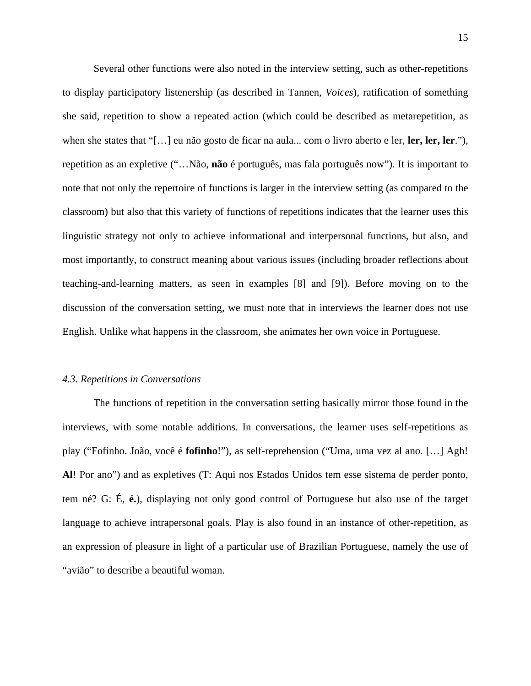Several other functions were also noted in the interview setting, such as other-repetitions to display participatory listenership (as described in Tannen, *Voices*), ratification of something she said, repetition to show a repeated action (which could be described as metarepetition, as when she states that "[…] eu não gosto de ficar na aula... com o livro aberto e ler, **ler, ler, ler**."), repetition as an expletive ("…Não, **não** é português, mas fala português now"). It is important to note that not only the repertoire of functions is larger in the interview setting (as compared to the classroom) but also that this variety of functions of repetitions indicates that the learner uses this linguistic strategy not only to achieve informational and interpersonal functions, but also, and most importantly, to construct meaning about various issues (including broader reflections about teaching-and-learning matters, as seen in examples [8] and [9]). Before moving on to the discussion of the conversation setting, we must note that in interviews the learner does not use English. Unlike what happens in the classroom, she animates her own voice in Portuguese.

#### *4.3. Repetitions in Conversations*

 The functions of repetition in the conversation setting basically mirror those found in the interviews, with some notable additions. In conversations, the learner uses self-repetitions as play ("Fofinho. João, você é **fofinho**!"), as self-reprehension ("Uma, uma vez al ano. […] Agh! **Al**! Por ano") and as expletives (T: Aqui nos Estados Unidos tem esse sistema de perder ponto, tem né? G: É, **é.**), displaying not only good control of Portuguese but also use of the target language to achieve intrapersonal goals. Play is also found in an instance of other-repetition, as an expression of pleasure in light of a particular use of Brazilian Portuguese, namely the use of "avião" to describe a beautiful woman.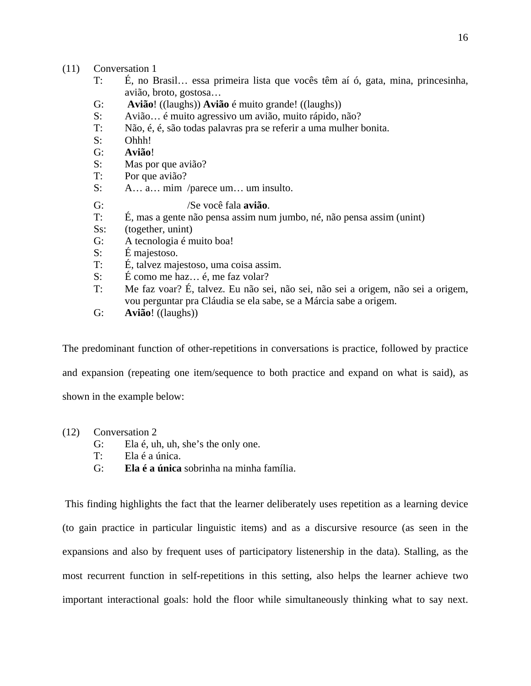### (11) Conversation 1

- T: É, no Brasil… essa primeira lista que vocês têm aí ó, gata, mina, princesinha, avião, broto, gostosa…
- G: **Avião**! ((laughs)) **Avião** é muito grande! ((laughs))
- S: Avião… é muito agressivo um avião, muito rápido, não?
- T: Não, é, é, são todas palavras pra se referir a uma mulher bonita.
- S: Ohhh!
- G: **Avião**!
- S: Mas por que avião?
- T: Por que avião?
- S: A… a… mim /parece um… um insulto.
- G: /Se você fala **avião**.
- T: É, mas a gente não pensa assim num jumbo, né, não pensa assim (unint)
- Ss: (together, unint)
- G: A tecnologia é muito boa!
- S: É majestoso.
- T: É, talvez majestoso, uma coisa assim.
- S: É como me haz… é, me faz volar?
- T: Me faz voar? É, talvez. Eu não sei, não sei, não sei a origem, não sei a origem, vou perguntar pra Cláudia se ela sabe, se a Márcia sabe a origem.
- G: **Avião**! ((laughs))

The predominant function of other-repetitions in conversations is practice, followed by practice and expansion (repeating one item/sequence to both practice and expand on what is said), as shown in the example below:

- (12) Conversation 2
	- G: Ela é, uh, uh, she's the only one.
	- T: Ela é a única.
	- G: **Ela é a única** sobrinha na minha família.

 This finding highlights the fact that the learner deliberately uses repetition as a learning device (to gain practice in particular linguistic items) and as a discursive resource (as seen in the expansions and also by frequent uses of participatory listenership in the data). Stalling, as the most recurrent function in self-repetitions in this setting, also helps the learner achieve two important interactional goals: hold the floor while simultaneously thinking what to say next.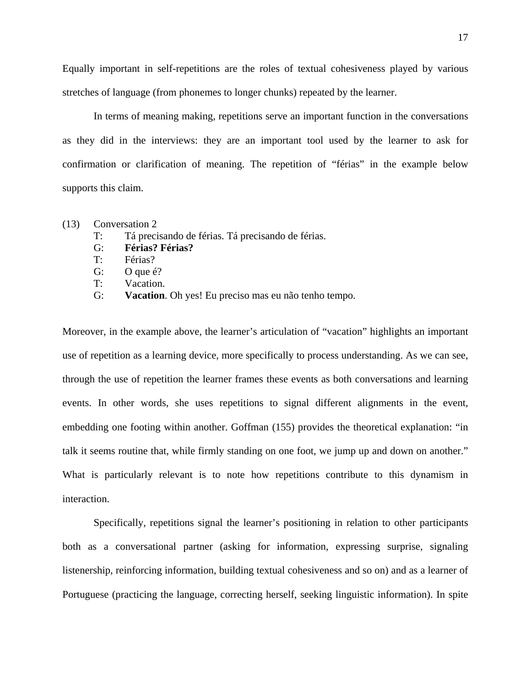Equally important in self-repetitions are the roles of textual cohesiveness played by various stretches of language (from phonemes to longer chunks) repeated by the learner.

 In terms of meaning making, repetitions serve an important function in the conversations as they did in the interviews: they are an important tool used by the learner to ask for confirmation or clarification of meaning. The repetition of "férias" in the example below supports this claim.

- (13) Conversation 2
	- T: Tá precisando de férias. Tá precisando de férias.
	- G: **Férias? Férias?**
	- T: Férias?
	- G: O que é?
	- T: Vacation.
	- G: **Vacation**. Oh yes! Eu preciso mas eu não tenho tempo.

Moreover, in the example above, the learner's articulation of "vacation" highlights an important use of repetition as a learning device, more specifically to process understanding. As we can see, through the use of repetition the learner frames these events as both conversations and learning events. In other words, she uses repetitions to signal different alignments in the event, embedding one footing within another. Goffman (155) provides the theoretical explanation: "in talk it seems routine that, while firmly standing on one foot, we jump up and down on another." What is particularly relevant is to note how repetitions contribute to this dynamism in interaction.

 Specifically, repetitions signal the learner's positioning in relation to other participants both as a conversational partner (asking for information, expressing surprise, signaling listenership, reinforcing information, building textual cohesiveness and so on) and as a learner of Portuguese (practicing the language, correcting herself, seeking linguistic information). In spite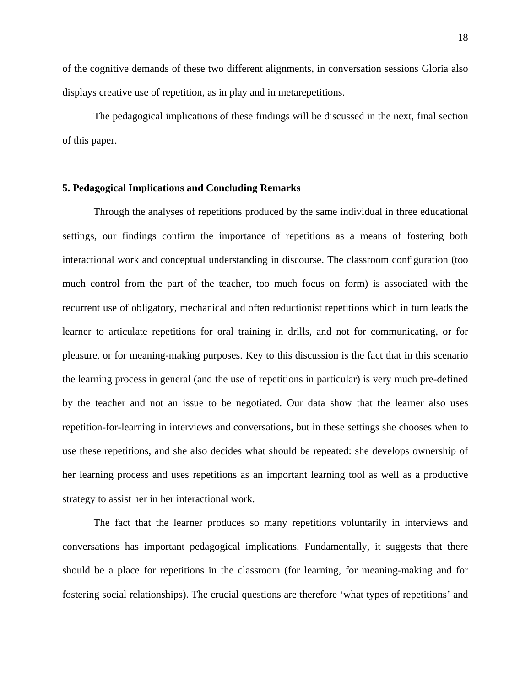of the cognitive demands of these two different alignments, in conversation sessions Gloria also displays creative use of repetition, as in play and in metarepetitions.

 The pedagogical implications of these findings will be discussed in the next, final section of this paper.

### **5. Pedagogical Implications and Concluding Remarks**

Through the analyses of repetitions produced by the same individual in three educational settings, our findings confirm the importance of repetitions as a means of fostering both interactional work and conceptual understanding in discourse. The classroom configuration (too much control from the part of the teacher, too much focus on form) is associated with the recurrent use of obligatory, mechanical and often reductionist repetitions which in turn leads the learner to articulate repetitions for oral training in drills, and not for communicating, or for pleasure, or for meaning-making purposes. Key to this discussion is the fact that in this scenario the learning process in general (and the use of repetitions in particular) is very much pre-defined by the teacher and not an issue to be negotiated. Our data show that the learner also uses repetition-for-learning in interviews and conversations, but in these settings she chooses when to use these repetitions, and she also decides what should be repeated: she develops ownership of her learning process and uses repetitions as an important learning tool as well as a productive strategy to assist her in her interactional work.

The fact that the learner produces so many repetitions voluntarily in interviews and conversations has important pedagogical implications. Fundamentally, it suggests that there should be a place for repetitions in the classroom (for learning, for meaning-making and for fostering social relationships). The crucial questions are therefore 'what types of repetitions' and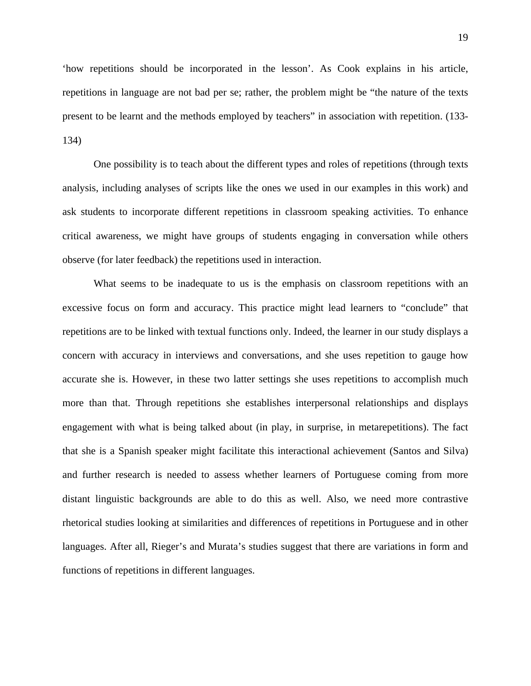'how repetitions should be incorporated in the lesson'. As Cook explains in his article, repetitions in language are not bad per se; rather, the problem might be "the nature of the texts present to be learnt and the methods employed by teachers" in association with repetition. (133- 134)

One possibility is to teach about the different types and roles of repetitions (through texts analysis, including analyses of scripts like the ones we used in our examples in this work) and ask students to incorporate different repetitions in classroom speaking activities. To enhance critical awareness, we might have groups of students engaging in conversation while others observe (for later feedback) the repetitions used in interaction.

What seems to be inadequate to us is the emphasis on classroom repetitions with an excessive focus on form and accuracy. This practice might lead learners to "conclude" that repetitions are to be linked with textual functions only. Indeed, the learner in our study displays a concern with accuracy in interviews and conversations, and she uses repetition to gauge how accurate she is. However, in these two latter settings she uses repetitions to accomplish much more than that. Through repetitions she establishes interpersonal relationships and displays engagement with what is being talked about (in play, in surprise, in metarepetitions). The fact that she is a Spanish speaker might facilitate this interactional achievement (Santos and Silva) and further research is needed to assess whether learners of Portuguese coming from more distant linguistic backgrounds are able to do this as well. Also, we need more contrastive rhetorical studies looking at similarities and differences of repetitions in Portuguese and in other languages. After all, Rieger's and Murata's studies suggest that there are variations in form and functions of repetitions in different languages.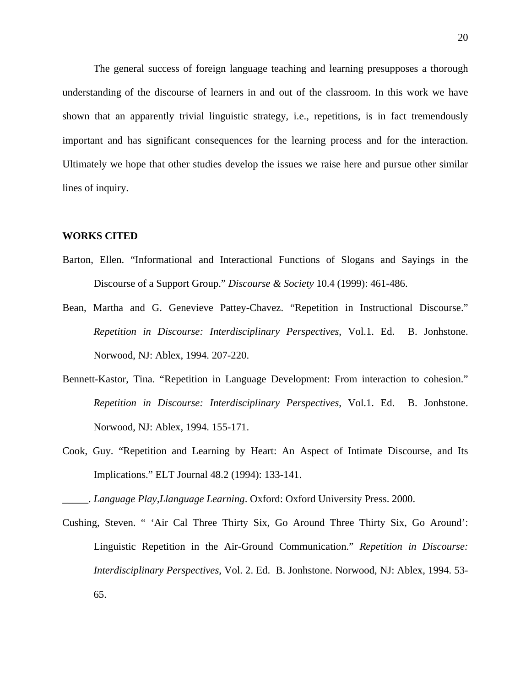The general success of foreign language teaching and learning presupposes a thorough understanding of the discourse of learners in and out of the classroom. In this work we have shown that an apparently trivial linguistic strategy, i.e., repetitions, is in fact tremendously important and has significant consequences for the learning process and for the interaction. Ultimately we hope that other studies develop the issues we raise here and pursue other similar lines of inquiry.

### **WORKS CITED**

- Barton, Ellen. "Informational and Interactional Functions of Slogans and Sayings in the Discourse of a Support Group." *Discourse & Society* 10.4 (1999): 461-486.
- Bean, Martha and G. Genevieve Pattey-Chavez. "Repetition in Instructional Discourse." *Repetition in Discourse: Interdisciplinary Perspectives*, Vol.1. Ed. B. Jonhstone. Norwood, NJ: Ablex, 1994. 207-220.
- Bennett-Kastor, Tina. "Repetition in Language Development: From interaction to cohesion." *Repetition in Discourse: Interdisciplinary Perspectives*, Vol.1. Ed. B. Jonhstone. Norwood, NJ: Ablex, 1994. 155-171.
- Cook, Guy. "Repetition and Learning by Heart: An Aspect of Intimate Discourse, and Its Implications." ELT Journal 48.2 (1994): 133-141.

\_\_\_\_\_. *Language Play,Llanguage Learning*. Oxford: Oxford University Press. 2000.

Cushing, Steven. " 'Air Cal Three Thirty Six, Go Around Three Thirty Six, Go Around': Linguistic Repetition in the Air-Ground Communication." *Repetition in Discourse: Interdisciplinary Perspectives*, Vol. 2. Ed. B. Jonhstone. Norwood, NJ: Ablex, 1994. 53- 65.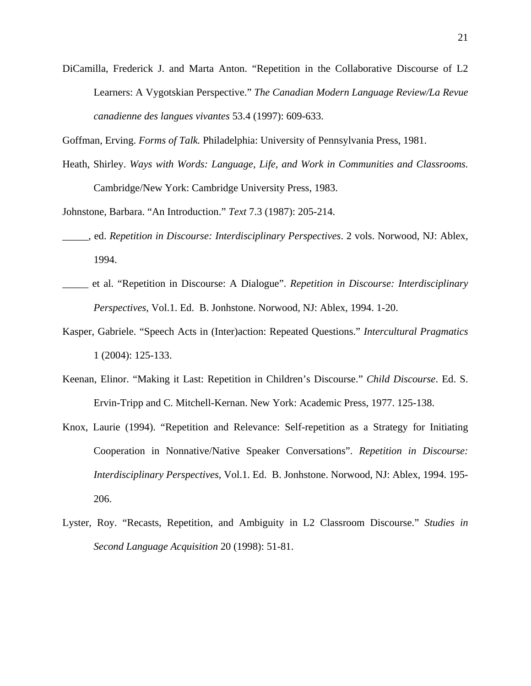DiCamilla, Frederick J. and Marta Anton. "Repetition in the Collaborative Discourse of L2 Learners: A Vygotskian Perspective." *The Canadian Modern Language Review/La Revue canadienne des langues vivantes* 53.4 (1997): 609-633.

Goffman, Erving. *Forms of Talk.* Philadelphia: University of Pennsylvania Press, 1981.

Heath, Shirley. *Ways with Words: Language, Life, and Work in Communities and Classrooms.* Cambridge/New York: Cambridge University Press, 1983.

Johnstone, Barbara. "An Introduction." *Text* 7.3 (1987): 205-214.

- \_\_\_\_\_, ed. *Repetition in Discourse: Interdisciplinary Perspectives*. 2 vols. Norwood, NJ: Ablex, 1994.
- \_\_\_\_\_ et al. "Repetition in Discourse: A Dialogue". *Repetition in Discourse: Interdisciplinary Perspectives*, Vol.1. Ed. B. Jonhstone. Norwood, NJ: Ablex, 1994. 1-20.
- Kasper, Gabriele. "Speech Acts in (Inter)action: Repeated Questions." *Intercultural Pragmatics* 1 (2004): 125-133.
- Keenan, Elinor. "Making it Last: Repetition in Children's Discourse." *Child Discourse*. Ed. S. Ervin-Tripp and C. Mitchell-Kernan. New York: Academic Press, 1977. 125-138.
- Knox, Laurie (1994). "Repetition and Relevance: Self-repetition as a Strategy for Initiating Cooperation in Nonnative/Native Speaker Conversations". *Repetition in Discourse: Interdisciplinary Perspectives*, Vol.1. Ed. B. Jonhstone. Norwood, NJ: Ablex, 1994. 195- 206.
- Lyster, Roy. "Recasts, Repetition, and Ambiguity in L2 Classroom Discourse." *Studies in Second Language Acquisition* 20 (1998): 51-81.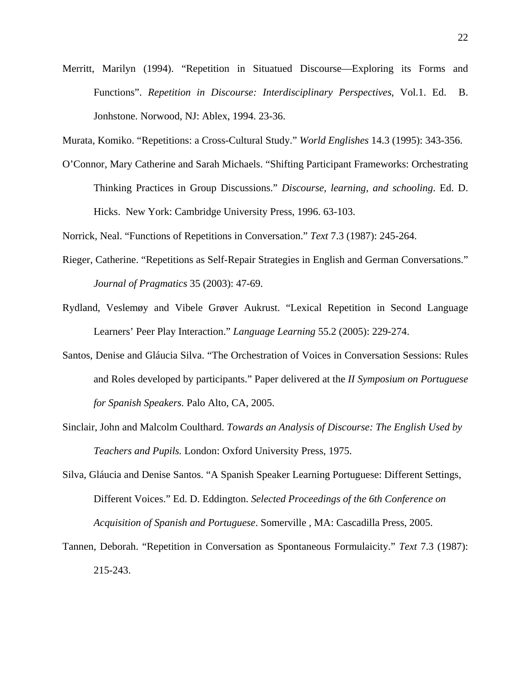Merritt, Marilyn (1994). "Repetition in Situatued Discourse—Exploring its Forms and Functions". *Repetition in Discourse: Interdisciplinary Perspectives*, Vol.1. Ed. B. Jonhstone. Norwood, NJ: Ablex, 1994. 23-36.

Murata, Komiko. "Repetitions: a Cross-Cultural Study." *World Englishes* 14.3 (1995): 343-356.

O'Connor, Mary Catherine and Sarah Michaels. "Shifting Participant Frameworks: Orchestrating Thinking Practices in Group Discussions." *Discourse, learning, and schooling*. Ed. D. Hicks. New York: Cambridge University Press, 1996. 63-103.

Norrick, Neal. "Functions of Repetitions in Conversation." *Text* 7.3 (1987): 245-264.

- Rieger, Catherine. "Repetitions as Self-Repair Strategies in English and German Conversations." *Journal of Pragmatics* 35 (2003): 47-69.
- Rydland, Veslemøy and Vibele Grøver Aukrust. "Lexical Repetition in Second Language Learners' Peer Play Interaction." *Language Learning* 55.2 (2005): 229-274.
- Santos, Denise and Gláucia Silva. "The Orchestration of Voices in Conversation Sessions: Rules and Roles developed by participants." Paper delivered at the *II Symposium on Portuguese for Spanish Speakers.* Palo Alto, CA, 2005.
- Sinclair, John and Malcolm Coulthard. *Towards an Analysis of Discourse: The English Used by Teachers and Pupils.* London: Oxford University Press, 1975.
- Silva, Gláucia and Denise Santos. "A Spanish Speaker Learning Portuguese: Different Settings, Different Voices." Ed. D. Eddington. *Selected Proceedings of the 6th Conference on Acquisition of Spanish and Portuguese*. Somerville , MA: Cascadilla Press, 2005.
- Tannen, Deborah. "Repetition in Conversation as Spontaneous Formulaicity." *Text* 7.3 (1987): 215-243.